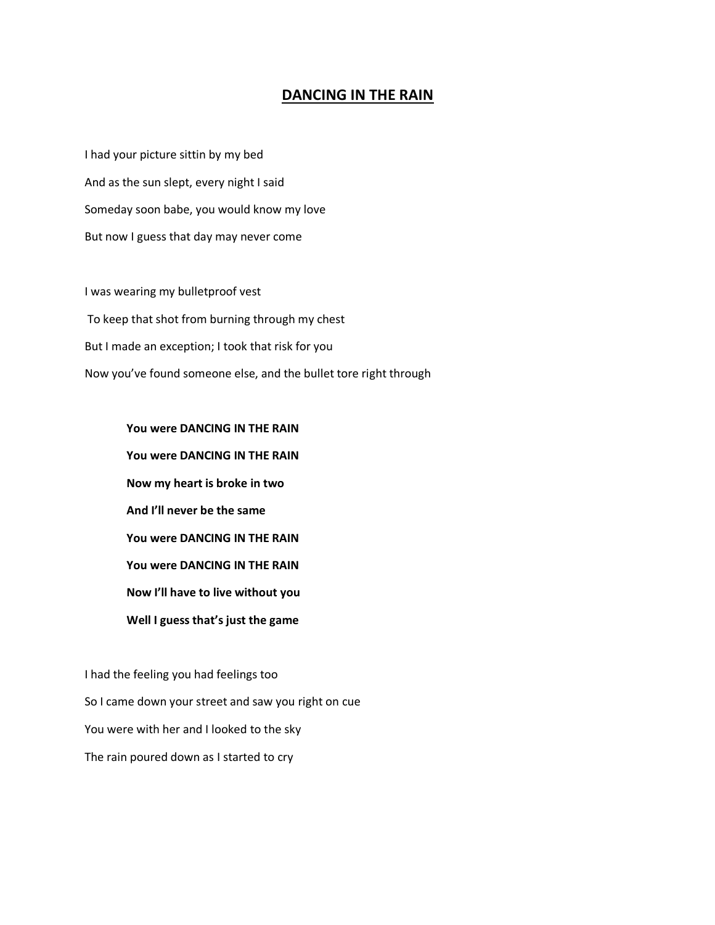## **DANCING IN THE RAIN**

I had your picture sittin by my bed And as the sun slept, every night I said Someday soon babe, you would know my love But now I guess that day may never come

I was wearing my bulletproof vest To keep that shot from burning through my chest But I made an exception; I took that risk for you Now you've found someone else, and the bullet tore right through

> **You were DANCING IN THE RAIN You were DANCING IN THE RAIN Now my heart is broke in two And I'll never be the same You were DANCING IN THE RAIN You were DANCING IN THE RAIN Now I'll have to live without you Well I guess that's just the game**

I had the feeling you had feelings too So I came down your street and saw you right on cue You were with her and I looked to the sky The rain poured down as I started to cry